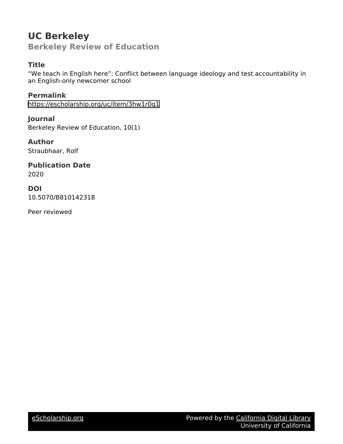# **UC Berkeley Berkeley Review of Education**

# **Title**

"We teach in English here": Conflict between language ideology and test accountability in an English-only newcomer school

**Permalink** <https://escholarship.org/uc/item/3hw1r0q1>

**Journal** Berkeley Review of Education, 10(1)

**Author** Straubhaar, Rolf

**Publication Date** 2020

**DOI**

10.5070/B810142318

Peer reviewed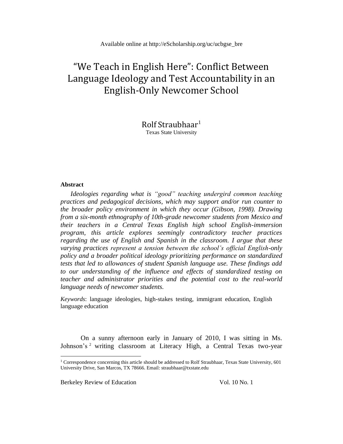# "We Teach in English Here": Conflict Between Language Ideology and Test Accountability in an English-Only Newcomer School

Rolf Straubhaar<sup>1</sup> Texas State University

#### **Abstract**

*Ideologies regarding what is "good" teaching undergird common teaching practices and pedagogical decisions, which may support and/or run counter to the broader policy environment in which they occur (Gibson, 1998). Drawing from a six-month ethnography of 10th-grade newcomer students from Mexico and their teachers in a Central Texas English high school English-immersion program, this article explores seemingly contradictory teacher practices regarding the use of English and Spanish in the classroom. I argue that these varying practices represent a tension between the school's official English-only policy and a broader political ideology prioritizing performance on standardized tests that led to allowances of student Spanish language use. These findings add to our understanding of the influence and effects of standardized testing on teacher and administrator priorities and the potential cost to the real-world language needs of newcomer students.*

*Keywords*: language ideologies, high-stakes testing, immigrant education, English language education

On a sunny afternoon early in January of 2010, I was sitting in Ms. Johnson's<sup>2</sup> writing classroom at Literacy High, a Central Texas two-year

Berkeley Review of Education Vol. 10 No. 1

<sup>&</sup>lt;sup>1</sup> Correspondence concerning this article should be addressed to Rolf Straubhaar, Texas State University, 601 University Drive, San Marcos, TX 78666. Email: straubhaar@txstate.edu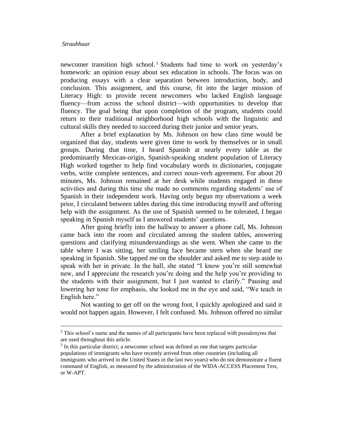newcomer transition high school.<sup>3</sup> Students had time to work on yesterday's homework: an opinion essay about sex education in schools. The focus was on producing essays with a clear separation between introduction, body, and conclusion. This assignment, and this course, fit into the larger mission of Literacy High: to provide recent newcomers who lacked English language fluency—from across the school district—with opportunities to develop that fluency. The goal being that upon completion of the program, students could return to their traditional neighborhood high schools with the linguistic and cultural skills they needed to succeed during their junior and senior years.

After a brief explanation by Ms. Johnson on how class time would be organized that day, students were given time to work by themselves or in small groups. During that time, I heard Spanish at nearly every table as the predominantly Mexican-origin, Spanish-speaking student population of Literacy High worked together to help find vocabulary words in dictionaries, conjugate verbs, write complete sentences, and correct noun-verb agreement. For about 20 minutes, Ms. Johnson remained at her desk while students engaged in these activities and during this time she made no comments regarding students' use of Spanish in their independent work. Having only begun my observations a week prior, I circulated between tables during this time introducing myself and offering help with the assignment. As the use of Spanish seemed to be tolerated, I began speaking in Spanish myself as I answered students' questions.

After going briefly into the hallway to answer a phone call, Ms. Johnson came back into the room and circulated among the student tables, answering questions and clarifying misunderstandings as she went. When she came to the table where I was sitting, her smiling face became stern when she heard me speaking in Spanish. She tapped me on the shoulder and asked me to step aside to speak with her in private. In the hall, she stated "I know you're still somewhat new, and I appreciate the research you're doing and the help you're providing to the students with their assignment, but I just wanted to clarify." Pausing and lowering her tone for emphasis, she looked me in the eye and said, "We teach in English here."

Not wanting to get off on the wrong foot, I quickly apologized and said it would not happen again. However, I felt confused. Ms. Johnson offered no similar

<sup>&</sup>lt;sup>2</sup> This school's name and the names of all participants have been replaced with pseudonyms that are used throughout this article.

<sup>&</sup>lt;sup>3</sup> In this particular district, a newcomer school was defined as one that targets particular populations of immigrants who have recently arrived from other countries (including all immigrants who arrived in the United States in the last two years) who do not demonstrate a fluent command of English, as measured by the administration of the WIDA-ACCESS Placement Test, or W-APT.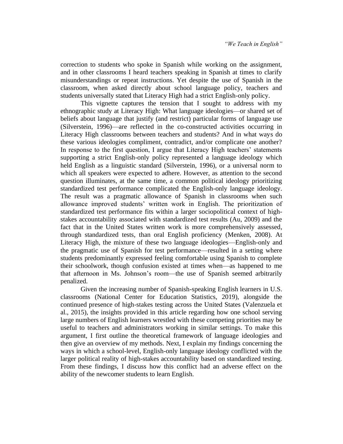correction to students who spoke in Spanish while working on the assignment, and in other classrooms I heard teachers speaking in Spanish at times to clarify misunderstandings or repeat instructions. Yet despite the use of Spanish in the classroom, when asked directly about school language policy, teachers and students universally stated that Literacy High had a strict English-only policy.

This vignette captures the tension that I sought to address with my ethnographic study at Literacy High: What language ideologies—or shared set of beliefs about language that justify (and restrict) particular forms of language use (Silverstein, 1996)—are reflected in the co-constructed activities occurring in Literacy High classrooms between teachers and students? And in what ways do these various ideologies compliment, contradict, and/or complicate one another? In response to the first question, I argue that Literacy High teachers' statements supporting a strict English-only policy represented a language ideology which held English as a linguistic standard (Silverstein, 1996), or a universal norm to which all speakers were expected to adhere. However, as attention to the second question illuminates, at the same time, a common political ideology prioritizing standardized test performance complicated the English-only language ideology. The result was a pragmatic allowance of Spanish in classrooms when such allowance improved students' written work in English. The prioritization of standardized test performance fits within a larger sociopolitical context of highstakes accountability associated with standardized test results (Au, 2009) and the fact that in the United States written work is more comprehensively assessed, through standardized tests, than oral English proficiency (Menken, 2008). At Literacy High, the mixture of these two language ideologies—English-only and the pragmatic use of Spanish for test performance—resulted in a setting where students predominantly expressed feeling comfortable using Spanish to complete their schoolwork, though confusion existed at times when—as happened to me that afternoon in Ms. Johnson's room—the use of Spanish seemed arbitrarily penalized.

Given the increasing number of Spanish-speaking English learners in U.S. classrooms (National Center for Education Statistics, 2019), alongside the continued presence of high-stakes testing across the United States (Valenzuela et al., 2015), the insights provided in this article regarding how one school serving large numbers of English learners wrestled with these competing priorities may be useful to teachers and administrators working in similar settings. To make this argument, I first outline the theoretical framework of language ideologies and then give an overview of my methods. Next, I explain my findings concerning the ways in which a school-level, English-only language ideology conflicted with the larger political reality of high-stakes accountability based on standardized testing. From these findings, I discuss how this conflict had an adverse effect on the ability of the newcomer students to learn English.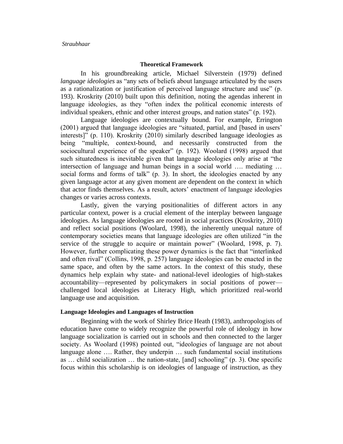## **Theoretical Framework**

In his groundbreaking article, Michael Silverstein (1979) defined *language ideologies* as "any sets of beliefs about language articulated by the users as a rationalization or justification of perceived language structure and use" (p. 193). Kroskrity (2010) built upon this definition, noting the agendas inherent in language ideologies, as they "often index the political economic interests of individual speakers, ethnic and other interest groups, and nation states" (p. 192).

Language ideologies are contextually bound. For example, Errington (2001) argued that language ideologies are "situated, partial, and [based in users' interests]" (p. 110). Kroskrity (2010) similarly described language ideologies as being "multiple, context-bound, and necessarily constructed from the sociocultural experience of the speaker" (p. 192). Woolard (1998) argued that such situatedness is inevitable given that language ideologies only arise at "the intersection of language and human beings in a social world …. mediating … social forms and forms of talk" (p. 3). In short, the ideologies enacted by any given language actor at any given moment are dependent on the context in which that actor finds themselves. As a result, actors' enactment of language ideologies changes or varies across contexts.

Lastly, given the varying positionalities of different actors in any particular context, power is a crucial element of the interplay between language ideologies. As language ideologies are rooted in social practices (Kroskrity, 2010) and reflect social positions (Woolard, 1998), the inherently unequal nature of contemporary societies means that language ideologies are often utilized "in the service of the struggle to acquire or maintain power" (Woolard, 1998, p. 7). However, further complicating these power dynamics is the fact that "interlinked and often rival" (Collins, 1998, p. 257) language ideologies can be enacted in the same space, and often by the same actors. In the context of this study, these dynamics help explain why state- and national-level ideologies of high-stakes accountability—represented by policymakers in social positions of power challenged local ideologies at Literacy High, which prioritized real-world language use and acquisition.

#### **Language Ideologies and Languages of Instruction**

Beginning with the work of Shirley Brice Heath (1983), anthropologists of education have come to widely recognize the powerful role of ideology in how language socialization is carried out in schools and then connected to the larger society. As Woolard (1998) pointed out, "ideologies of language are not about language alone …. Rather, they underpin … such fundamental social institutions as … child socialization … the nation-state, [and] schooling" (p. 3). One specific focus within this scholarship is on ideologies of language of instruction, as they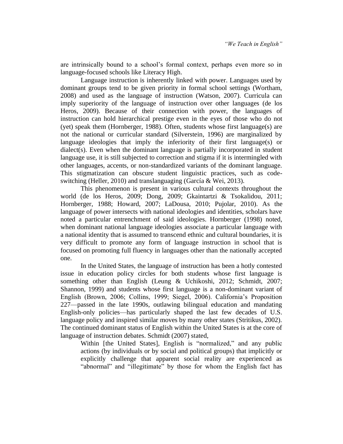are intrinsically bound to a school's formal context, perhaps even more so in language-focused schools like Literacy High.

Language instruction is inherently linked with power. Languages used by dominant groups tend to be given priority in formal school settings (Wortham, 2008) and used as the language of instruction (Watson, 2007). Curricula can imply superiority of the language of instruction over other languages (de los Heros, 2009). Because of their connection with power, the languages of instruction can hold hierarchical prestige even in the eyes of those who do not (yet) speak them (Hornberger, 1988). Often, students whose first language(s) are not the national or curricular standard (Silverstein, 1996) are marginalized by language ideologies that imply the inferiority of their first language(s) or dialect(s). Even when the dominant language is partially incorporated in student language use, it is still subjected to correction and stigma if it is intermingled with other languages, accents, or non-standardized variants of the dominant language. This stigmatization can obscure student linguistic practices, such as codeswitching (Heller, 2010) and translanguaging (García & Wei, 2013).

This phenomenon is present in various cultural contexts throughout the world (de los Heros, 2009; Dong, 2009; Gkaintartzi & Tsokalidou, 2011; Hornberger, 1988; Howard, 2007; LaDousa, 2010; Pujolar, 2010). As the language of power intersects with national ideologies and identities, scholars have noted a particular entrenchment of said ideologies. Hornberger (1998) noted, when dominant national language ideologies associate a particular language with a national identity that is assumed to transcend ethnic and cultural boundaries, it is very difficult to promote any form of language instruction in school that is focused on promoting full fluency in languages other than the nationally accepted one.

In the United States, the language of instruction has been a hotly contested issue in education policy circles for both students whose first language is something other than English (Leung & Uchikoshi, 2012; Schmidt, 2007; Shannon, 1999) and students whose first language is a non-dominant variant of English (Brown, 2006; Collins, 1999; Siegel, 2006). California's Proposition 227—passed in the late 1990s, outlawing bilingual education and mandating English-only policies—has particularly shaped the last few decades of U.S. language policy and inspired similar moves by many other states (Stritikus, 2002). The continued dominant status of English within the United States is at the core of language of instruction debates. Schmidt (2007) stated,

Within [the United States], English is "normalized," and any public actions (by individuals or by social and political groups) that implicitly or explicitly challenge that apparent social reality are experienced as "abnormal" and "illegitimate" by those for whom the English fact has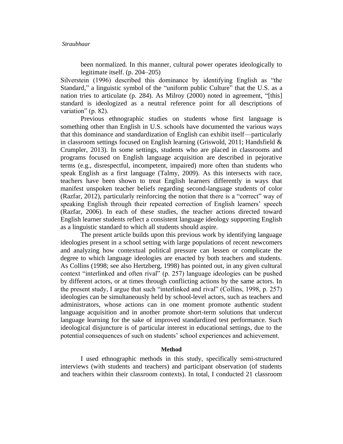been normalized. In this manner, cultural power operates ideologically to legitimate itself. (p. 204–205)

Silverstein (1996) described this dominance by identifying English as "the Standard," a linguistic symbol of the "uniform public Culture" that the U.S. as a nation tries to articulate (p. 284). As Milroy (2000) noted in agreement, "[this] standard is ideologized as a neutral reference point for all descriptions of variation" (p. 82).

Previous ethnographic studies on students whose first language is something other than English in U.S. schools have documented the various ways that this dominance and standardization of English can exhibit itself—particularly in classroom settings focused on English learning (Griswold, 2011; Handsfield  $\&$ Crumpler, 2013). In some settings, students who are placed in classrooms and programs focused on English language acquisition are described in pejorative terms (e.g., disrespectful, incompetent, impaired) more often than students who speak English as a first language (Talmy, 2009). As this intersects with race, teachers have been shown to treat English learners differently in ways that manifest unspoken teacher beliefs regarding second-language students of color (Razfar, 2012), particularly reinforcing the notion that there is a "correct" way of speaking English through their repeated correction of English learners' speech (Razfar, 2006). In each of these studies, the teacher actions directed toward English learner students reflect a consistent language ideology supporting English as a linguistic standard to which all students should aspire.

The present article builds upon this previous work by identifying language ideologies present in a school setting with large populations of recent newcomers and analyzing how contextual political pressure can lessen or complicate the degree to which language ideologies are enacted by both teachers and students. As Collins (1998; see also Hertzberg, 1998) has pointed out, in any given cultural context "interlinked and often rival" (p. 257) language ideologies can be pushed by different actors, or at times through conflicting actions by the same actors. In the present study, I argue that such "interlinked and rival" (Collins, 1998, p. 257) ideologies can be simultaneously held by school-level actors, such as teachers and administrators, whose actions can in one moment promote authentic student language acquisition and in another promote short-term solutions that undercut language learning for the sake of improved standardized test performance. Such ideological disjuncture is of particular interest in educational settings, due to the potential consequences of such on students' school experiences and achievement.

#### **Method**

I used ethnographic methods in this study, specifically semi-structured interviews (with students and teachers) and participant observation (of students and teachers within their classroom contexts). In total, I conducted 21 classroom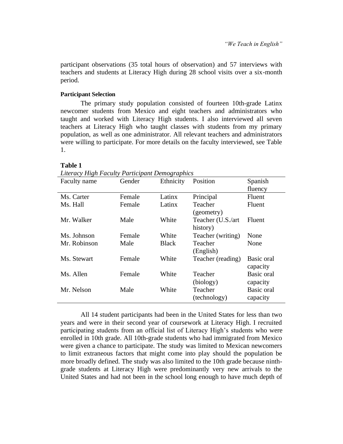participant observations (35 total hours of observation) and 57 interviews with teachers and students at Literacy High during 28 school visits over a six-month period.

## **Participant Selection**

The primary study population consisted of fourteen 10th-grade Latinx newcomer students from Mexico and eight teachers and administrators who taught and worked with Literacy High students. I also interviewed all seven teachers at Literacy High who taught classes with students from my primary population, as well as one administrator. All relevant teachers and administrators were willing to participate. For more details on the faculty interviewed, see Table 1.

# **Table 1**

*Literacy High Faculty Participant Demographics*

| Faculty name | Gender | Ethnicity    | Position                      | Spanish                       |
|--------------|--------|--------------|-------------------------------|-------------------------------|
|              |        |              |                               | fluency                       |
| Ms. Carter   | Female | Latinx       | Principal                     | Fluent                        |
| Ms. Hall     | Female | Latinx       | Teacher<br>(geometry)         | Fluent                        |
| Mr. Walker   | Male   | White        | Teacher (U.S./art<br>history) | Fluent                        |
| Ms. Johnson  | Female | White        | Teacher (writing)             | None                          |
| Mr. Robinson | Male   | <b>Black</b> | Teacher<br>(English)          | None                          |
| Ms. Stewart  | Female | White        | Teacher (reading)             | Basic oral<br>capacity        |
| Ms. Allen    | Female | White        | Teacher<br>(biology)          | Basic oral<br>capacity        |
| Mr. Nelson   | Male   | White        | Teacher<br>(technology)       | <b>Basic oral</b><br>capacity |

All 14 student participants had been in the United States for less than two years and were in their second year of coursework at Literacy High. I recruited participating students from an official list of Literacy High's students who were enrolled in 10th grade. All 10th-grade students who had immigrated from Mexico were given a chance to participate. The study was limited to Mexican newcomers to limit extraneous factors that might come into play should the population be more broadly defined. The study was also limited to the 10th grade because ninthgrade students at Literacy High were predominantly very new arrivals to the United States and had not been in the school long enough to have much depth of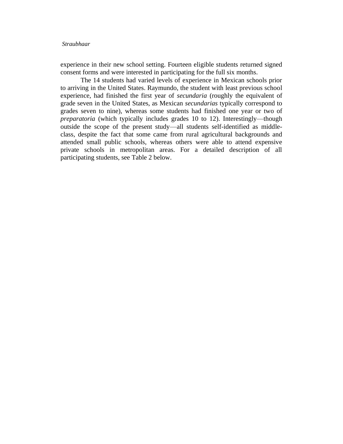experience in their new school setting. Fourteen eligible students returned signed consent forms and were interested in participating for the full six months.

The 14 students had varied levels of experience in Mexican schools prior to arriving in the United States. Raymundo, the student with least previous school experience, had finished the first year of *secundaria* (roughly the equivalent of grade seven in the United States, as Mexican *secundarias* typically correspond to grades seven to nine), whereas some students had finished one year or two of *preparatoria* (which typically includes grades 10 to 12). Interestingly—though outside the scope of the present study—all students self-identified as middleclass, despite the fact that some came from rural agricultural backgrounds and attended small public schools, whereas others were able to attend expensive private schools in metropolitan areas. For a detailed description of all participating students, see Table 2 below.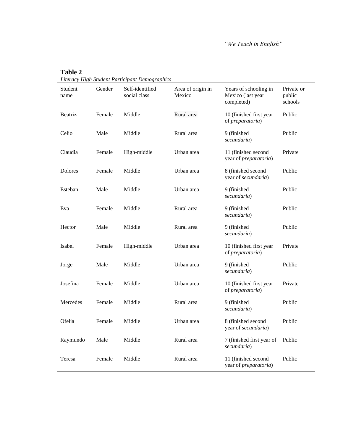*"We Teach in English"* 

| Student<br>name | Gender | Self-identified<br>social class | Area of origin in<br>Mexico | Years of schooling in<br>Mexico (last year<br>completed) | Private or<br>public<br>schools |
|-----------------|--------|---------------------------------|-----------------------------|----------------------------------------------------------|---------------------------------|
| Beatriz         | Female | Middle                          | Rural area                  | 10 (finished first year<br>of preparatoria)              | Public                          |
| Celio           | Male   | Middle                          | Rural area                  | 9 (finished<br>secundaria)                               | Public                          |
| Claudia         | Female | High-middle                     | Urban area                  | 11 (finished second<br>year of <i>preparatoria</i> )     | Private                         |
| Dolores         | Female | Middle                          | Urban area                  | 8 (finished second<br>year of secundaria)                | Public                          |
| Esteban         | Male   | Middle                          | Urban area                  | 9 (finished<br>secundaria)                               | Public                          |
| Eva             | Female | Middle                          | Rural area                  | 9 (finished<br>secundaria)                               | Public                          |
| Hector          | Male   | Middle                          | Rural area                  | 9 (finished<br>secundaria)                               | Public                          |
| Isabel          | Female | High-middle                     | Urban area                  | 10 (finished first year<br>of preparatoria)              | Private                         |
| Jorge           | Male   | Middle                          | Urban area                  | 9 (finished<br>secundaria)                               | Public                          |
| Josefina        | Female | Middle                          | Urban area                  | 10 (finished first year<br>of preparatoria)              | Private                         |
| Mercedes        | Female | Middle                          | Rural area                  | 9 (finished<br>secundaria)                               | Public                          |
| Ofelia          | Female | Middle                          | Urban area                  | 8 (finished second<br>year of secundaria)                | Public                          |
| Raymundo        | Male   | Middle                          | Rural area                  | 7 (finished first year of<br>secundaria)                 | Public                          |
| Teresa          | Female | Middle                          | Rural area                  | 11 (finished second<br>year of <i>preparatoria</i> )     | Public                          |

*Literacy High Student Participant Demographics*

**Table 2**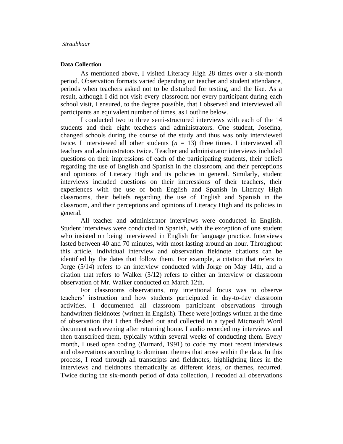# **Data Collection**

As mentioned above, I visited Literacy High 28 times over a six-month period. Observation formats varied depending on teacher and student attendance, periods when teachers asked not to be disturbed for testing, and the like. As a result, although I did not visit every classroom nor every participant during each school visit, I ensured, to the degree possible, that I observed and interviewed all participants an equivalent number of times, as I outline below.

I conducted two to three semi-structured interviews with each of the 14 students and their eight teachers and administrators. One student, Josefina, changed schools during the course of the study and thus was only interviewed twice. I interviewed all other students  $(n = 13)$  three times. I interviewed all teachers and administrators twice. Teacher and administrator interviews included questions on their impressions of each of the participating students, their beliefs regarding the use of English and Spanish in the classroom, and their perceptions and opinions of Literacy High and its policies in general. Similarly, student interviews included questions on their impressions of their teachers, their experiences with the use of both English and Spanish in Literacy High classrooms, their beliefs regarding the use of English and Spanish in the classroom, and their perceptions and opinions of Literacy High and its policies in general.

All teacher and administrator interviews were conducted in English. Student interviews were conducted in Spanish, with the exception of one student who insisted on being interviewed in English for language practice. Interviews lasted between 40 and 70 minutes, with most lasting around an hour. Throughout this article, individual interview and observation fieldnote citations can be identified by the dates that follow them. For example, a citation that refers to Jorge (5/14) refers to an interview conducted with Jorge on May 14th, and a citation that refers to Walker (3/12) refers to either an interview or classroom observation of Mr. Walker conducted on March 12th.

For classrooms observations, my intentional focus was to observe teachers' instruction and how students participated in day-to-day classroom activities. I documented all classroom participant observations through handwritten fieldnotes (written in English). These were jottings written at the time of observation that I then fleshed out and collected in a typed Microsoft Word document each evening after returning home. I audio recorded my interviews and then transcribed them, typically within several weeks of conducting them. Every month, I used open coding (Burnard, 1991) to code my most recent interviews and observations according to dominant themes that arose within the data. In this process, I read through all transcripts and fieldnotes, highlighting lines in the interviews and fieldnotes thematically as different ideas, or themes, recurred. Twice during the six-month period of data collection, I recoded all observations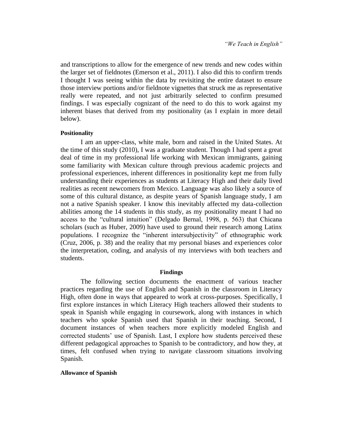and transcriptions to allow for the emergence of new trends and new codes within the larger set of fieldnotes (Emerson et al., 2011). I also did this to confirm trends I thought I was seeing within the data by revisiting the entire dataset to ensure those interview portions and/or fieldnote vignettes that struck me as representative really were repeated, and not just arbitrarily selected to confirm presumed findings. I was especially cognizant of the need to do this to work against my inherent biases that derived from my positionality (as I explain in more detail below).

#### **Positionality**

I am an upper-class, white male, born and raised in the United States. At the time of this study (2010), I was a graduate student. Though I had spent a great deal of time in my professional life working with Mexican immigrants, gaining some familiarity with Mexican culture through previous academic projects and professional experiences, inherent differences in positionality kept me from fully understanding their experiences as students at Literacy High and their daily lived realities as recent newcomers from Mexico. Language was also likely a source of some of this cultural distance, as despite years of Spanish language study, I am not a native Spanish speaker. I know this inevitably affected my data-collection abilities among the 14 students in this study, as my positionality meant I had no access to the "cultural intuition" (Delgado Bernal, 1998, p. 563) that Chicana scholars (such as Huber, 2009) have used to ground their research among Latinx populations. I recognize the "inherent intersubjectivity" of ethnographic work (Cruz, 2006, p. 38) and the reality that my personal biases and experiences color the interpretation, coding, and analysis of my interviews with both teachers and students.

#### **Findings**

The following section documents the enactment of various teacher practices regarding the use of English and Spanish in the classroom in Literacy High, often done in ways that appeared to work at cross-purposes. Specifically, I first explore instances in which Literacy High teachers allowed their students to speak in Spanish while engaging in coursework, along with instances in which teachers who spoke Spanish used that Spanish in their teaching. Second, I document instances of when teachers more explicitly modeled English and corrected students' use of Spanish. Last, I explore how students perceived these different pedagogical approaches to Spanish to be contradictory, and how they, at times, felt confused when trying to navigate classroom situations involving Spanish.

#### **Allowance of Spanish**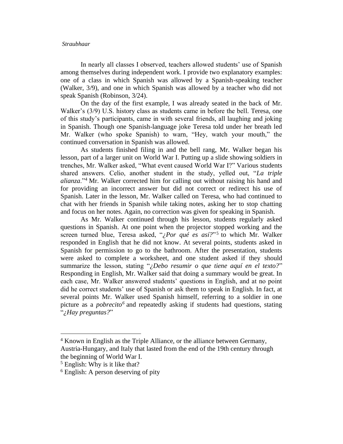In nearly all classes I observed, teachers allowed students' use of Spanish among themselves during independent work. I provide two explanatory examples: one of a class in which Spanish was allowed by a Spanish-speaking teacher (Walker, 3/9), and one in which Spanish was allowed by a teacher who did not speak Spanish (Robinson, 3/24).

On the day of the first example, I was already seated in the back of Mr. Walker's (3/9) U.S. history class as students came in before the bell. Teresa, one of this study's participants, came in with several friends, all laughing and joking in Spanish. Though one Spanish-language joke Teresa told under her breath led Mr. Walker (who spoke Spanish) to warn, "Hey, watch your mouth," the continued conversation in Spanish was allowed.

As students finished filing in and the bell rang, Mr. Walker began his lesson, part of a larger unit on World War I. Putting up a slide showing soldiers in trenches, Mr. Walker asked, "What event caused World War I?" Various students shared answers. Celio, another student in the study, yelled out, "*La triple alianza*."<sup>4</sup> Mr. Walker corrected him for calling out without raising his hand and for providing an incorrect answer but did not correct or redirect his use of Spanish. Later in the lesson, Mr. Walker called on Teresa, who had continued to chat with her friends in Spanish while taking notes, asking her to stop chatting and focus on her notes. Again, no correction was given for speaking in Spanish.

As Mr. Walker continued through his lesson, students regularly asked questions in Spanish. At one point when the projector stopped working and the screen turned blue, Teresa asked, "*¿Por qué es así?*"<sup>5</sup> to which Mr. Walker responded in English that he did not know. At several points, students asked in Spanish for permission to go to the bathroom. After the presentation, students were asked to complete a worksheet, and one student asked if they should summarize the lesson, stating "*¿Debo resumir o que tiene aquí en el texto?*" Responding in English, Mr. Walker said that doing a summary would be great. In each case, Mr. Walker answered students' questions in English, and at no point did he correct students' use of Spanish or ask them to speak in English. In fact, at several points Mr. Walker used Spanish himself, referring to a soldier in one picture as a *pobrecito<sup>6</sup>* and repeatedly asking if students had questions, stating "*¿Hay preguntas?*"

<sup>4</sup> Known in English as the Triple Alliance, or the alliance between Germany, Austria-Hungary, and Italy that lasted from the end of the 19th century through the beginning of World War I.

<sup>5</sup> English: Why is it like that?

<sup>&</sup>lt;sup>6</sup> English: A person deserving of pity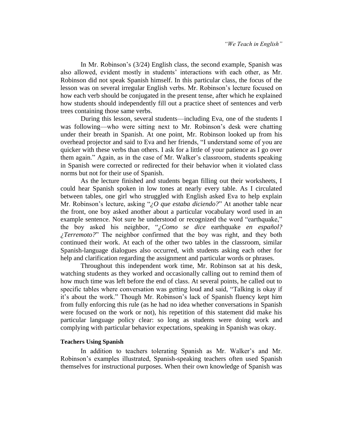In Mr. Robinson's (3/24) English class, the second example, Spanish was also allowed, evident mostly in students' interactions with each other, as Mr. Robinson did not speak Spanish himself. In this particular class, the focus of the lesson was on several irregular English verbs. Mr. Robinson's lecture focused on how each verb should be conjugated in the present tense, after which he explained how students should independently fill out a practice sheet of sentences and verb trees containing those same verbs.

During this lesson, several students—including Eva, one of the students I was following—who were sitting next to Mr. Robinson's desk were chatting under their breath in Spanish. At one point, Mr. Robinson looked up from his overhead projector and said to Eva and her friends, "I understand some of you are quicker with these verbs than others. I ask for a little of your patience as I go over them again." Again, as in the case of Mr. Walker's classroom, students speaking in Spanish were corrected or redirected for their behavior when it violated class norms but not for their use of Spanish.

As the lecture finished and students began filling out their worksheets, I could hear Spanish spoken in low tones at nearly every table. As I circulated between tables, one girl who struggled with English asked Eva to help explain Mr. Robinson's lecture, asking "*¿O que estaba diciendo?*" At another table near the front, one boy asked another about a particular vocabulary word used in an example sentence. Not sure he understood or recognized the word "earthquake," the boy asked his neighbor, "*¿Como se dice* earthquake *en español? ¿Terremoto?*" The neighbor confirmed that the boy was right, and they both continued their work. At each of the other two tables in the classroom, similar Spanish-language dialogues also occurred, with students asking each other for help and clarification regarding the assignment and particular words or phrases.

Throughout this independent work time, Mr. Robinson sat at his desk, watching students as they worked and occasionally calling out to remind them of how much time was left before the end of class. At several points, he called out to specific tables where conversation was getting loud and said, "Talking is okay if it's about the work." Though Mr. Robinson's lack of Spanish fluency kept him from fully enforcing this rule (as he had no idea whether conversations in Spanish were focused on the work or not), his repetition of this statement did make his particular language policy clear: so long as students were doing work and complying with particular behavior expectations, speaking in Spanish was okay.

#### **Teachers Using Spanish**

In addition to teachers tolerating Spanish as Mr. Walker's and Mr. Robinson's examples illustrated, Spanish-speaking teachers often used Spanish themselves for instructional purposes. When their own knowledge of Spanish was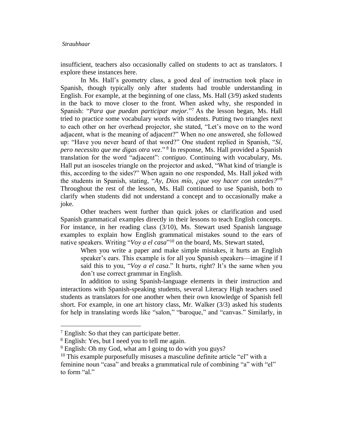insufficient, teachers also occasionally called on students to act as translators. I explore these instances here.

In Ms. Hall's geometry class, a good deal of instruction took place in Spanish, though typically only after students had trouble understanding in English. For example, at the beginning of one class, Ms. Hall (3/9) asked students in the back to move closer to the front. When asked why, she responded in Spanish: "*Para que puedan participar mejor.*" <sup>7</sup> As the lesson began, Ms. Hall tried to practice some vocabulary words with students. Putting two triangles next to each other on her overhead projector, she stated, "Let's move on to the word adjacent, what is the meaning of adjacent?" When no one answered, she followed up: "Have you never heard of that word?" One student replied in Spanish, "*Sí, pero necessito que me digas otra vez*." <sup>8</sup> In response, Ms. Hall provided a Spanish translation for the word "adjacent": *contiguo*. Continuing with vocabulary, Ms. Hall put an isosceles triangle on the projector and asked, "What kind of triangle is this, according to the sides?" When again no one responded, Ms. Hall joked with the students in Spanish, stating, "*Ay, Dios mío, ¿que voy hacer con ustedes?*" 9 Throughout the rest of the lesson, Ms. Hall continued to use Spanish, both to clarify when students did not understand a concept and to occasionally make a joke.

Other teachers went further than quick jokes or clarification and used Spanish grammatical examples directly in their lessons to teach English concepts. For instance, in her reading class (3/10), Ms. Stewart used Spanish language examples to explain how English grammatical mistakes sound to the ears of native speakers. Writing "*Voy a el casa*" <sup>10</sup> on the board, Ms. Stewart stated,

When you write a paper and make simple mistakes, it hurts an English speaker's ears. This example is for all you Spanish speakers—imagine if I said this to you, "*Voy a el casa*." It hurts, right? It's the same when you don't use correct grammar in English.

In addition to using Spanish-language elements in their instruction and interactions with Spanish-speaking students, several Literacy High teachers used students as translators for one another when their own knowledge of Spanish fell short. For example, in one art history class, Mr. Walker (3/3) asked his students for help in translating words like "salon," "baroque," and "canvas." Similarly, in

 $<sup>7</sup>$  English: So that they can participate better.</sup>

<sup>8</sup> English: Yes, but I need you to tell me again.

 $9$  English: Oh my God, what am I going to do with you guys?

<sup>&</sup>lt;sup>10</sup> This example purposefully misuses a masculine definite article "el" with a feminine noun "casa" and breaks a grammatical rule of combining "a" with "el" to form "al."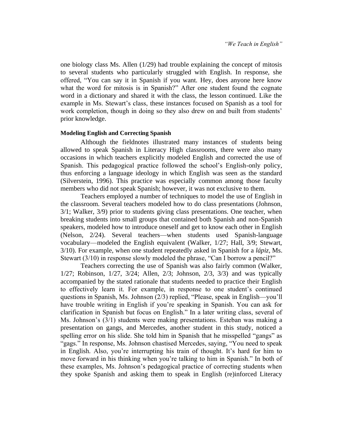one biology class Ms. Allen (1/29) had trouble explaining the concept of mitosis to several students who particularly struggled with English. In response, she offered, "You can say it in Spanish if you want. Hey, does anyone here know what the word for mitosis is in Spanish?" After one student found the cognate word in a dictionary and shared it with the class, the lesson continued. Like the example in Ms. Stewart's class, these instances focused on Spanish as a tool for work completion, though in doing so they also drew on and built from students' prior knowledge.

#### **Modeling English and Correcting Spanish**

Although the fieldnotes illustrated many instances of students being allowed to speak Spanish in Literacy High classrooms, there were also many occasions in which teachers explicitly modeled English and corrected the use of Spanish. This pedagogical practice followed the school's English-only policy, thus enforcing a language ideology in which English was seen as the standard (Silverstein, 1996). This practice was especially common among those faculty members who did not speak Spanish; however, it was not exclusive to them.

Teachers employed a number of techniques to model the use of English in the classroom. Several teachers modeled how to do class presentations (Johnson, 3/1; Walker, 3/9) prior to students giving class presentations. One teacher, when breaking students into small groups that contained both Spanish and non-Spanish speakers, modeled how to introduce oneself and get to know each other in English (Nelson, 2/24). Several teachers—when students used Spanish-language vocabulary—modeled the English equivalent (Walker, 1/27; Hall, 3/9; Stewart, 3/10). For example, when one student repeatedly asked in Spanish for a *lápiz*, Ms. Stewart (3/10) in response slowly modeled the phrase, "Can I borrow a pencil?"

Teachers correcting the use of Spanish was also fairly common (Walker, 1/27; Robinson, 1/27, 3/24; Allen, 2/3; Johnson, 2/3, 3/3) and was typically accompanied by the stated rationale that students needed to practice their English to effectively learn it. For example, in response to one student's continued questions in Spanish, Ms. Johnson (2/3) replied, "Please, speak in English—you'll have trouble writing in English if you're speaking in Spanish. You can ask for clarification in Spanish but focus on English." In a later writing class, several of Ms. Johnson's (3/1) students were making presentations. Esteban was making a presentation on gangs, and Mercedes, another student in this study, noticed a spelling error on his slide. She told him in Spanish that he misspelled "gangs" as "gags." In response, Ms. Johnson chastised Mercedes, saying, "You need to speak in English. Also, you're interrupting his train of thought. It's hard for him to move forward in his thinking when you're talking to him in Spanish." In both of these examples, Ms. Johnson's pedagogical practice of correcting students when they spoke Spanish and asking them to speak in English (re)inforced Literacy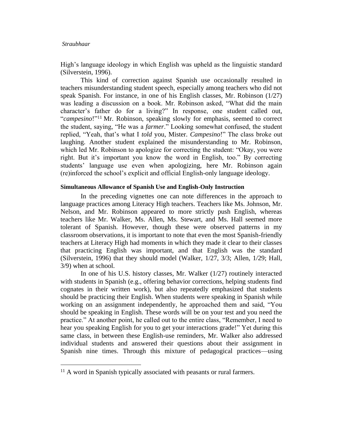High's language ideology in which English was upheld as the linguistic standard (Silverstein, 1996).

This kind of correction against Spanish use occasionally resulted in teachers misunderstanding student speech, especially among teachers who did not speak Spanish. For instance, in one of his English classes, Mr. Robinson (1/27) was leading a discussion on a book. Mr. Robinson asked, "What did the main character's father do for a living?" In response, one student called out, "*campesino*!"<sup>11</sup> Mr. Robinson, speaking slowly for emphasis, seemed to correct the student, saying, "He was a *farmer*." Looking somewhat confused, the student replied, "Yeah, that's what I *told* you, Mister. *Campesino*!" The class broke out laughing. Another student explained the misunderstanding to Mr. Robinson, which led Mr. Robinson to apologize for correcting the student: "Okay, you were right. But it's important you know the word in English, too." By correcting students' language use even when apologizing, here Mr. Robinson again (re)inforced the school's explicit and official English-only language ideology.

#### **Simultaneous Allowance of Spanish Use and English-Only Instruction**

In the preceding vignettes one can note differences in the approach to language practices among Literacy High teachers. Teachers like Ms. Johnson, Mr. Nelson, and Mr. Robinson appeared to more strictly push English, whereas teachers like Mr. Walker, Ms. Allen, Ms. Stewart, and Ms. Hall seemed more tolerant of Spanish. However, though these were observed patterns in my classroom observations, it is important to note that even the most Spanish-friendly teachers at Literacy High had moments in which they made it clear to their classes that practicing English was important, and that English was the standard (Silverstein, 1996) that they should model (Walker, 1/27, 3/3; Allen, 1/29; Hall, 3/9) when at school.

In one of his U.S. history classes, Mr. Walker (1/27) routinely interacted with students in Spanish (e.g., offering behavior corrections, helping students find cognates in their written work), but also repeatedly emphasized that students should be practicing their English. When students were speaking in Spanish while working on an assignment independently, he approached them and said, "You should be speaking in English. These words will be on your test and you need the practice." At another point, he called out to the entire class, "Remember, I need to hear you speaking English for you to get your interactions grade!" Yet during this same class, in between these English-use reminders, Mr. Walker also addressed individual students and answered their questions about their assignment in Spanish nine times. Through this mixture of pedagogical practices—using

 $11$  A word in Spanish typically associated with peasants or rural farmers.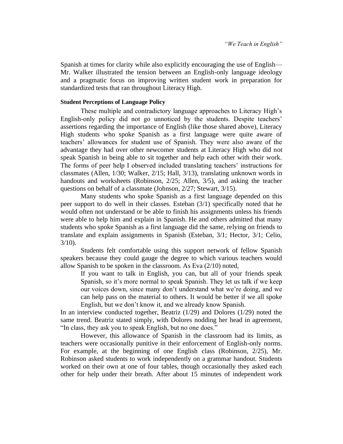Spanish at times for clarity while also explicitly encouraging the use of English— Mr. Walker illustrated the tension between an English-only language ideology and a pragmatic focus on improving written student work in preparation for standardized tests that ran throughout Literacy High.

#### **Student Perceptions of Language Policy**

These multiple and contradictory language approaches to Literacy High's English-only policy did not go unnoticed by the students. Despite teachers' assertions regarding the importance of English (like those shared above), Literacy High students who spoke Spanish as a first language were quite aware of teachers' allowances for student use of Spanish. They were also aware of the advantage they had over other newcomer students at Literacy High who did not speak Spanish in being able to sit together and help each other with their work. The forms of peer help I observed included translating teachers' instructions for classmates (Allen, 1/30; Walker, 2/15; Hall, 3/13), translating unknown words in handouts and worksheets (Robinson, 2/25; Allen, 3/5), and asking the teacher questions on behalf of a classmate (Johnson, 2/27; Stewart, 3/15).

Many students who spoke Spanish as a first language depended on this peer support to do well in their classes. Esteban (3/1) specifically noted that he would often not understand or be able to finish his assignments unless his friends were able to help him and explain in Spanish. He and others admitted that many students who spoke Spanish as a first language did the same, relying on friends to translate and explain assignments in Spanish (Esteban, 3/1; Hector, 3/1; Celio,  $3/10$ ).

Students felt comfortable using this support network of fellow Spanish speakers because they could gauge the degree to which various teachers would allow Spanish to be spoken in the classroom. As Eva (2/10) noted,

If you want to talk in English, you can, but all of your friends speak Spanish, so it's more normal to speak Spanish. They let us talk if we keep our voices down, since many don't understand what we're doing, and we can help pass on the material to others. It would be better if we all spoke English, but we don't know it, and we already know Spanish.

In an interview conducted together, Beatriz (1/29) and Dolores (1/29) noted the same trend. Beatriz stated simply, with Dolores nodding her head in agreement, "In class, they ask you to speak English, but no one does."

However, this allowance of Spanish in the classroom had its limits, as teachers were occasionally punitive in their enforcement of English-only norms. For example, at the beginning of one English class (Robinson, 2/25), Mr. Robinson asked students to work independently on a grammar handout. Students worked on their own at one of four tables, though occasionally they asked each other for help under their breath. After about 15 minutes of independent work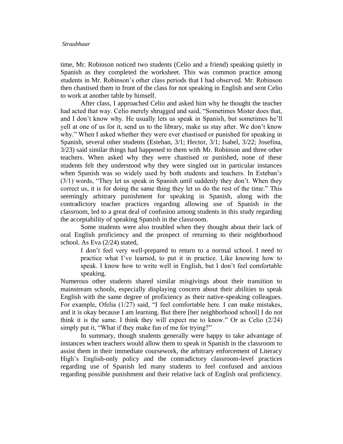time, Mr. Robinson noticed two students (Celio and a friend) speaking quietly in Spanish as they completed the worksheet. This was common practice among students in Mr. Robinson's other class periods that I had observed. Mr. Robinson then chastised them in front of the class for not speaking in English and sent Celio to work at another table by himself.

After class, I approached Celio and asked him why he thought the teacher had acted that way. Celio merely shrugged and said, "Sometimes Mister does that, and I don't know why. He usually lets us speak in Spanish, but sometimes he'll yell at one of us for it, send us to the library, make us stay after. We don't know why." When I asked whether they were ever chastised or punished for speaking in Spanish, several other students (Esteban, 3/1; Hector, 3/1; Isabel, 3/22; Josefina, 3/23) said similar things had happened to them with Mr. Robinson and three other teachers. When asked why they were chastised or punished, none of these students felt they understood why they were singled out in particular instances when Spanish was so widely used by both students and teachers. In Esteban's (3/1) words, "They let us speak in Spanish until suddenly they don't. When they correct us, it is for doing the same thing they let us do the rest of the time." This seemingly arbitrary punishment for speaking in Spanish, along with the contradictory teacher practices regarding allowing use of Spanish in the classroom, led to a great deal of confusion among students in this study regarding the acceptability of speaking Spanish in the classroom.

Some students were also troubled when they thought about their lack of oral English proficiency and the prospect of returning to their neighborhood school. As Eva (2/24) stated,

I don't feel very well-prepared to return to a normal school. I need to practice what I've learned, to put it in practice. Like knowing how to speak. I know how to write well in English, but I don't feel comfortable speaking.

Numerous other students shared similar misgivings about their transition to mainstream schools, especially displaying concern about their abilities to speak English with the same degree of proficiency as their native-speaking colleagues. For example, Ofelia (1/27) said, "I feel comfortable here. I can make mistakes, and it is okay because I am learning. But there [her neighborhood school] I do not think it is the same. I think they will expect me to know." Or as Celio (2/24) simply put it, "What if they make fun of me for trying?"

In summary, though students generally were happy to take advantage of instances when teachers would allow them to speak in Spanish in the classroom to assist them in their immediate coursework, the arbitrary enforcement of Literacy High's English-only policy and the contradictory classroom-level practices regarding use of Spanish led many students to feel confused and anxious regarding possible punishment and their relative lack of English oral proficiency.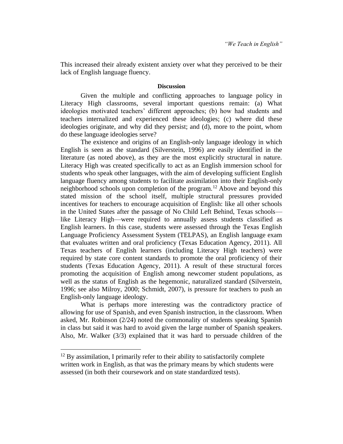This increased their already existent anxiety over what they perceived to be their lack of English language fluency.

# **Discussion**

Given the multiple and conflicting approaches to language policy in Literacy High classrooms, several important questions remain: (a) What ideologies motivated teachers' different approaches; (b) how had students and teachers internalized and experienced these ideologies; (c) where did these ideologies originate, and why did they persist; and (d), more to the point, whom do these language ideologies serve?

The existence and origins of an English-only language ideology in which English is seen as the standard (Silverstein, 1996) are easily identified in the literature (as noted above), as they are the most explicitly structural in nature. Literacy High was created specifically to act as an English immersion school for students who speak other languages, with the aim of developing sufficient English language fluency among students to facilitate assimilation into their English-only neighborhood schools upon completion of the program.<sup>12</sup> Above and beyond this stated mission of the school itself, multiple structural pressures provided incentives for teachers to encourage acquisition of English: like all other schools in the United States after the passage of No Child Left Behind, Texas schools like Literacy High—were required to annually assess students classified as English learners. In this case, students were assessed through the Texas English Language Proficiency Assessment System (TELPAS), an English language exam that evaluates written and oral proficiency (Texas Education Agency, 2011). All Texas teachers of English learners (including Literacy High teachers) were required by state core content standards to promote the oral proficiency of their students (Texas Education Agency, 2011). A result of these structural forces promoting the acquisition of English among newcomer student populations, as well as the status of English as the hegemonic, naturalized standard (Silverstein, 1996; see also Milroy, 2000; Schmidt, 2007), is pressure for teachers to push an English-only language ideology.

What is perhaps more interesting was the contradictory practice of allowing for use of Spanish, and even Spanish instruction, in the classroom. When asked, Mr. Robinson (2/24) noted the commonality of students speaking Spanish in class but said it was hard to avoid given the large number of Spanish speakers. Also, Mr. Walker (3/3) explained that it was hard to persuade children of the

 $12$  By assimilation, I primarily refer to their ability to satisfactorily complete written work in English, as that was the primary means by which students were assessed (in both their coursework and on state standardized tests).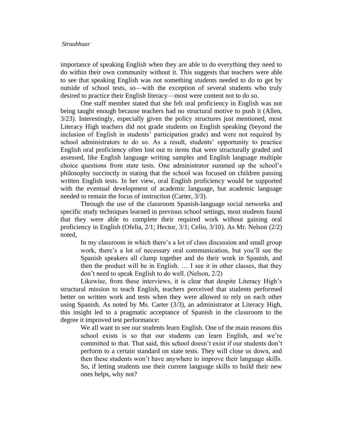importance of speaking English when they are able to do everything they need to do within their own community without it. This suggests that teachers were able to see that speaking English was not something students needed to do to get by outside of school tests, so—with the exception of several students who truly desired to practice their English literacy—most were content not to do so.

One staff member stated that she felt oral proficiency in English was not being taught enough because teachers had no structural motive to push it (Allen, 3/23). Interestingly, especially given the policy structures just mentioned, most Literacy High teachers did not grade students on English speaking (beyond the inclusion of English in students' participation grade) and were not required by school administrators to do so. As a result, students' opportunity to practice English oral proficiency often lost out to items that were structurally graded and assessed, like English language writing samples and English language multiple choice questions from state tests. One administrator summed up the school's philosophy succinctly in stating that the school was focused on children passing written English tests. In her view, oral English proficiency would be supported with the eventual development of academic language, but academic language needed to remain the focus of instruction (Carter, 3/3).

Through the use of the classroom Spanish-language social networks and specific study techniques learned in previous school settings, most students found that they were able to complete their required work without gaining oral proficiency in English (Ofelia, 2/1; Hector, 3/1; Celio, 3/10). As Mr. Nelson (2/2) noted,

In my classroom in which there's a lot of class discussion and small group work, there's a lot of necessary oral communication, but you'll see the Spanish speakers all clump together and do their work in Spanish, and then the product will be in English. … I see it in other classes, that they don't need to speak English to do well. (Nelson, 2/2)

Likewise, from these interviews, it is clear that despite Literacy High's structural mission to teach English, teachers perceived that students performed better on written work and tests when they were allowed to rely on each other using Spanish. As noted by Ms. Carter (3/3), an administrator at Literacy High, this insight led to a pragmatic acceptance of Spanish in the classroom to the degree it improved test performance:

We all want to see our students learn English. One of the main reasons this school exists is so that our students can learn English, and we're committed to that. That said, this school doesn't exist if our students don't perform to a certain standard on state tests. They will close us down, and then these students won't have anywhere to improve their language skills. So, if letting students use their current language skills to build their new ones helps, why not?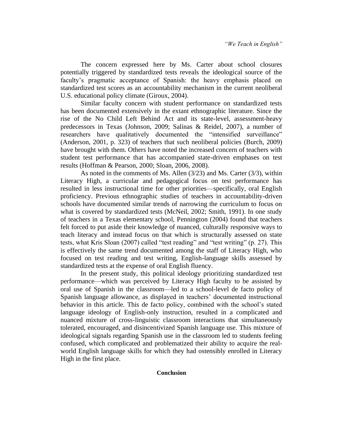The concern expressed here by Ms. Carter about school closures potentially triggered by standardized tests reveals the ideological source of the faculty's pragmatic acceptance of Spanish: the heavy emphasis placed on standardized test scores as an accountability mechanism in the current neoliberal U.S. educational policy climate (Giroux, 2004).

Similar faculty concern with student performance on standardized tests has been documented extensively in the extant ethnographic literature. Since the rise of the No Child Left Behind Act and its state-level, assessment-heavy predecessors in Texas (Johnson, 2009; Salinas & Reidel, 2007), a number of researchers have qualitatively documented the "intensified surveillance" (Anderson, 2001, p. 323) of teachers that such neoliberal policies (Burch, 2009) have brought with them. Others have noted the increased concern of teachers with student test performance that has accompanied state-driven emphases on test results (Hoffman & Pearson, 2000; Sloan, 2006, 2008).

As noted in the comments of Ms. Allen (3/23) and Ms. Carter (3/3), within Literacy High, a curricular and pedagogical focus on test performance has resulted in less instructional time for other priorities—specifically, oral English proficiency. Previous ethnographic studies of teachers in accountability-driven schools have documented similar trends of narrowing the curriculum to focus on what is covered by standardized tests (McNeil, 2002; Smith, 1991). In one study of teachers in a Texas elementary school, Pennington (2004) found that teachers felt forced to put aside their knowledge of nuanced, culturally responsive ways to teach literacy and instead focus on that which is structurally assessed on state tests, what Kris Sloan (2007) called "test reading" and "test writing" (p. 27). This is effectively the same trend documented among the staff of Literacy High, who focused on test reading and test writing, English-language skills assessed by standardized tests at the expense of oral English fluency.

In the present study, this political ideology prioritizing standardized test performance—which was perceived by Literacy High faculty to be assisted by oral use of Spanish in the classroom—led to a school-level de facto policy of Spanish language allowance, as displayed in teachers' documented instructional behavior in this article. This de facto policy, combined with the school's stated language ideology of English-only instruction, resulted in a complicated and nuanced mixture of cross-linguistic classroom interactions that simultaneously tolerated, encouraged, and disincentivized Spanish language use. This mixture of ideological signals regarding Spanish use in the classroom led to students feeling confused, which complicated and problematized their ability to acquire the realworld English language skills for which they had ostensibly enrolled in Literacy High in the first place.

#### **Conclusion**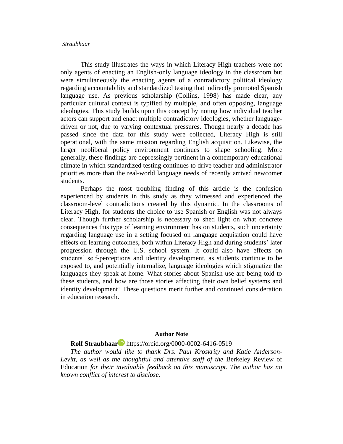This study illustrates the ways in which Literacy High teachers were not only agents of enacting an English-only language ideology in the classroom but were simultaneously the enacting agents of a contradictory political ideology regarding accountability and standardized testing that indirectly promoted Spanish language use. As previous scholarship (Collins, 1998) has made clear, any particular cultural context is typified by multiple, and often opposing, language ideologies. This study builds upon this concept by noting how individual teacher actors can support and enact multiple contradictory ideologies, whether languagedriven or not, due to varying contextual pressures. Though nearly a decade has passed since the data for this study were collected, Literacy High is still operational, with the same mission regarding English acquisition. Likewise, the larger neoliberal policy environment continues to shape schooling. More generally, these findings are depressingly pertinent in a contemporary educational climate in which standardized testing continues to drive teacher and administrator priorities more than the real-world language needs of recently arrived newcomer students.

Perhaps the most troubling finding of this article is the confusion experienced by students in this study as they witnessed and experienced the classroom-level contradictions created by this dynamic. In the classrooms of Literacy High, for students the choice to use Spanish or English was not always clear. Though further scholarship is necessary to shed light on what concrete consequences this type of learning environment has on students, such uncertainty regarding language use in a setting focused on language acquisition could have effects on learning outcomes, both within Literacy High and during students' later progression through the U.S. school system. It could also have effects on students' self-perceptions and identity development, as students continue to be exposed to, and potentially internalize, language ideologies which stigmatize the languages they speak at home. What stories about Spanish use are being told to these students, and how are those stories affecting their own belief systems and identity development? These questions merit further and continued consideration in education research.

# **Author Note**

# **Rolf Straubhaar** <https://orcid.org/0000-0002-6416-0519>

*The author would like to thank Drs. Paul Kroskrity and Katie Anderson-Levitt, as well as the thoughtful and attentive staff of the* Berkeley Review of Education *for their invaluable feedback on this manuscript. The author has no known conflict of interest to disclose.*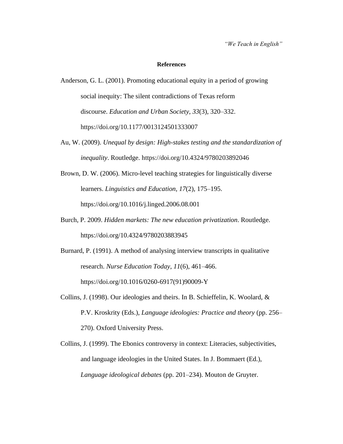*"We Teach in English"* 

#### **References**

- Anderson, G. L. (2001). Promoting educational equity in a period of growing social inequity: The silent contradictions of Texas reform discourse. *Education and Urban Society*, *33*(3), 320*–*332. https://doi.org/10.1177/0013124501333007
- Au, W. (2009). *Unequal by design: High-stakes testing and the standardization of inequality*. Routledge. <https://doi.org/10.4324/9780203892046>
- Brown, D. W. (2006). Micro-level teaching strategies for linguistically diverse learners. *Linguistics and Education*, *17*(2), 175*–*195. <https://doi.org/10.1016/j.linged.2006.08.001>
- Burch, P. 2009. *Hidden markets: The new education privatization*. Routledge. <https://doi.org/10.4324/9780203883945>
- Burnard, P. (1991). A method of analysing interview transcripts in qualitative research. *Nurse Education Today*, *11*(6), 461*–*466. [https://doi.org/10.1016/0260-6917\(91\)90009-Y](https://doi.org/10.1016/0260-6917(91)90009-Y)
- Collins, J. (1998). Our ideologies and theirs. In B. Schieffelin, K. Woolard, & P.V. Kroskrity (Eds.), *Language ideologies: Practice and theory* (pp. 256*–* 270). Oxford University Press.
- Collins, J. (1999). The Ebonics controversy in context: Literacies, subjectivities, and language ideologies in the United States. In J. Bommaert (Ed.), *Language ideological debates* (pp. 201*–*234). Mouton de Gruyter.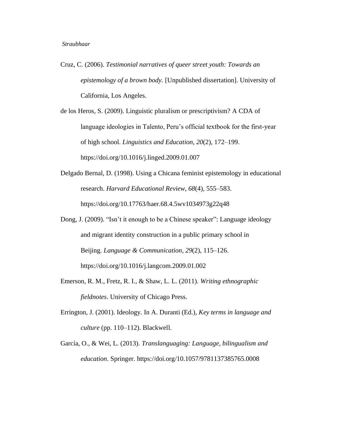- Cruz, C. (2006). *Testimonial narratives of queer street youth: Towards an epistemology of a brown body.* [Unpublished dissertation]. University of California, Los Angeles.
- de los Heros, S. (2009). Linguistic pluralism or prescriptivism? A CDA of language ideologies in Talento, Peru's official textbook for the first-year of high school. *Linguistics and Education*, *20*(2), 172*–*199. <https://doi.org/10.1016/j.linged.2009.01.007>
- Delgado Bernal, D. (1998). Using a Chicana feminist epistemology in educational research. *Harvard Educational Review*, *68*(4), 555–583. <https://doi.org/10.17763/haer.68.4.5wv1034973g22q48>
- Dong, J. (2009). "Isn't it enough to be a Chinese speaker": Language ideology and migrant identity construction in a public primary school in Beijing. *Language & Communication*, *29*(2), 115*–*126. <https://doi.org/10.1016/j.langcom.2009.01.002>
- Emerson, R. M., Fretz, R. I., & Shaw, L. L. (2011). *Writing ethnographic fieldnotes*. University of Chicago Press.
- Errington, J. (2001). Ideology. In A. Duranti (Ed.), *Key terms in language and culture* (pp. 110*–*112). Blackwell.
- García, O., & Wei, L. (2013). *Translanguaging: Language, bilingualism and education*. Springer.<https://doi.org/10.1057/9781137385765.0008>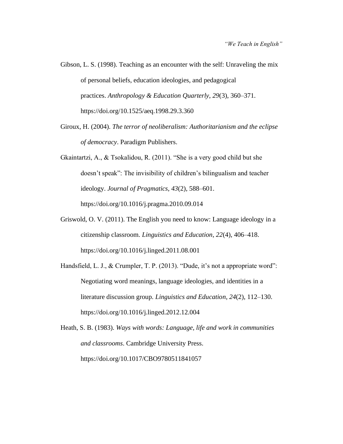- Gibson, L. S. (1998). Teaching as an encounter with the self: Unraveling the mix of personal beliefs, education ideologies, and pedagogical practices. *Anthropology & Education Quarterly*, *29*(3), 360–371. <https://doi.org/10.1525/aeq.1998.29.3.360>
- Giroux, H. (2004). *The terror of neoliberalism: Authoritarianism and the eclipse of democracy*. Paradigm Publishers.
- Gkaintartzi, A., & Tsokalidou, R. (2011). "She is a very good child but she doesn't speak": The invisibility of children's bilingualism and teacher ideology. *Journal of Pragmatics*, *43*(2), 588*–*601. <https://doi.org/10.1016/j.pragma.2010.09.014>
- Griswold, O. V. (2011). The English you need to know: Language ideology in a citizenship classroom. *Linguistics and Education*, *22*(4), 406*–*418. <https://doi.org/10.1016/j.linged.2011.08.001>
- Handsfield, L. J., & Crumpler, T. P. (2013). "Dude, it's not a appropriate word": Negotiating word meanings, language ideologies, and identities in a literature discussion group. *Linguistics and Education*, *24*(2), 112*–*130. <https://doi.org/10.1016/j.linged.2012.12.004>
- Heath, S. B. (1983). *Ways with words: Language, life and work in communities and classrooms*. Cambridge University Press. <https://doi.org/10.1017/CBO9780511841057>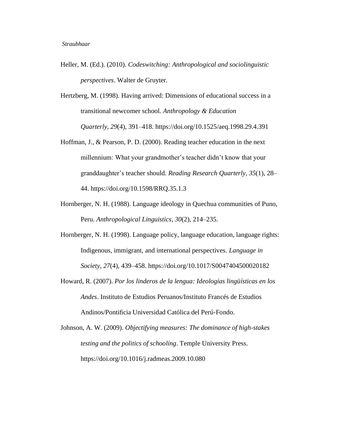- Heller, M. (Ed.). (2010). *Codeswitching: Anthropological and sociolinguistic perspectives*. Walter de Gruyter.
- Hertzberg, M. (1998). Having arrived: Dimensions of educational success in a transitional newcomer school. *Anthropology & Education Quarterly*, *29*(4), 391*–*418.<https://doi.org/10.1525/aeq.1998.29.4.391>
- Hoffman, J., & Pearson, P. D. (2000). Reading teacher education in the next millennium: What your grandmother's teacher didn't know that your granddaughter's teacher should. *Reading Research Quarterly*, *35*(1), 28*–* 44.<https://doi.org/10.1598/RRQ.35.1.3>
- Hornberger, N. H. (1988). Language ideology in Quechua communities of Puno, Peru. *Anthropological Linguistics*, *30*(2), 214*–*235.
- Hornberger, N. H. (1998). Language policy, language education, language rights: Indigenous, immigrant, and international perspectives. *Language in Society*, *27*(4), 439*–*458.<https://doi.org/10.1017/S0047404500020182>
- Howard, R. (2007). *Por los linderos de la lengua: Ideologías lingüísticas en los Andes*. Instituto de Estudios Peruanos/Instituto Francés de Estudios Andinos/Pontificia Universidad Católica del Perú-Fondo.
- Johnson, A. W. (2009). *Objectifying measures: The dominance of high-stakes testing and the politics of schooling*. Temple University Press. <https://doi.org/10.1016/j.radmeas.2009.10.080>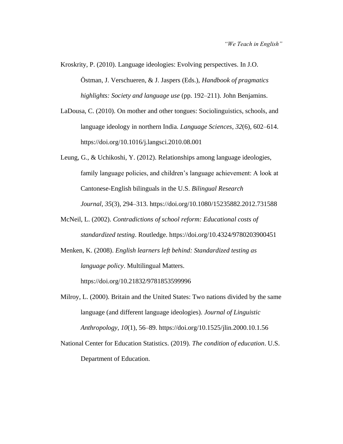Kroskrity, P. (2010). Language ideologies: Evolving perspectives. In J.O. Östman, J. Verschueren, & J. Jaspers (Eds.), *Handbook of pragmatics highlights: Society and language use* (pp. 192*–*211). John Benjamins.

- LaDousa, C. (2010). On mother and other tongues: Sociolinguistics, schools, and language ideology in northern India. *Language Sciences*, *32*(6), 602*–*614. <https://doi.org/10.1016/j.langsci.2010.08.001>
- Leung, G., & Uchikoshi, Y. (2012). Relationships among language ideologies, family language policies, and children's language achievement: A look at Cantonese-English bilinguals in the U.S. *Bilingual Research Journal*, *35*(3), 294*–*313.<https://doi.org/10.1080/15235882.2012.731588>
- McNeil, L. (2002). *Contradictions of school reform: Educational costs of standardized testing*. Routledge.<https://doi.org/10.4324/9780203900451>
- Menken, K. (2008). *English learners left behind: Standardized testing as language policy*. Multilingual Matters.

<https://doi.org/10.21832/9781853599996>

- Milroy, L. (2000). Britain and the United States: Two nations divided by the same language (and different language ideologies). *Journal of Linguistic Anthropology*, *10*(1), 56*–*89.<https://doi.org/10.1525/jlin.2000.10.1.56>
- National Center for Education Statistics. (2019). *The condition of education*. U.S. Department of Education.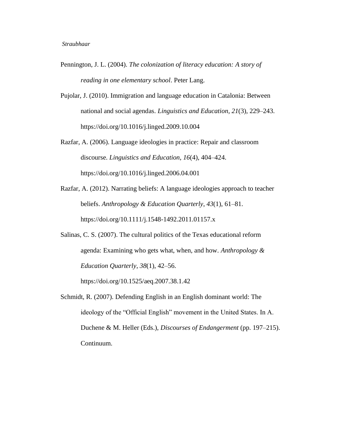- Pennington, J. L. (2004). *The colonization of literacy education: A story of reading in one elementary school*. Peter Lang.
- Pujolar, J. (2010). Immigration and language education in Catalonia: Between national and social agendas. *Linguistics and Education*, *21*(3), 229*–*243. <https://doi.org/10.1016/j.linged.2009.10.004>
- Razfar, A. (2006). Language ideologies in practice: Repair and classroom discourse. *Linguistics and Education*, *16*(4), 404*–*424. <https://doi.org/10.1016/j.linged.2006.04.001>
- Razfar, A. (2012). Narrating beliefs: A language ideologies approach to teacher beliefs. *Anthropology & Education Quarterly*, *43*(1), 61*–*81. <https://doi.org/10.1111/j.1548-1492.2011.01157.x>
- Salinas, C. S. (2007). The cultural politics of the Texas educational reform agenda: Examining who gets what, when, and how. *Anthropology & Education Quarterly*, *38*(1), 42*–*56. <https://doi.org/10.1525/aeq.2007.38.1.42>
- Schmidt, R. (2007). Defending English in an English dominant world: The ideology of the "Official English" movement in the United States. In A. Duchene & M. Heller (Eds.), *Discourses of Endangerment* (pp. 197*–*215). Continuum.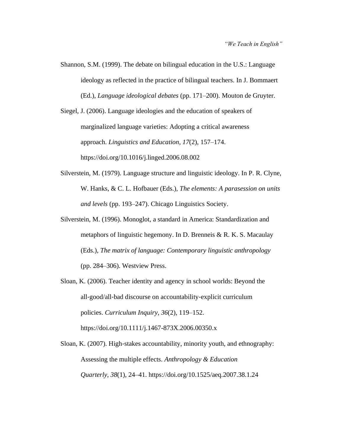Shannon, S.M. (1999). The debate on bilingual education in the U.S.: Language ideology as reflected in the practice of bilingual teachers. In J. Bommaert (Ed.), *Language ideological debates* (pp. 171*–*200). Mouton de Gruyter.

Siegel, J. (2006). Language ideologies and the education of speakers of marginalized language varieties: Adopting a critical awareness approach. *Linguistics and Education*, *17*(2), 157*–*174. <https://doi.org/10.1016/j.linged.2006.08.002>

- Silverstein, M. (1979). Language structure and linguistic ideology. In P. R. Clyne, W. Hanks, & C. L. Hofbauer (Eds.), *The elements: A parasession on units and levels* (pp. 193*–*247). Chicago Linguistics Society.
- Silverstein, M. (1996). Monoglot, a standard in America: Standardization and metaphors of linguistic hegemony. In D. Brenneis & R. K. S. Macaulay (Eds.), *The matrix of language: Contemporary linguistic anthropology* (pp. 284*–*306). Westview Press.
- Sloan, K. (2006). Teacher identity and agency in school worlds: Beyond the all‐good/all‐bad discourse on accountability‐explicit curriculum policies. *Curriculum Inquiry*, *36*(2), 119*–*152. <https://doi.org/10.1111/j.1467-873X.2006.00350.x>
- Sloan, K. (2007). High-stakes accountability, minority youth, and ethnography: Assessing the multiple effects. *Anthropology & Education Quarterly*, *38*(1), 24–41. <https://doi.org/10.1525/aeq.2007.38.1.24>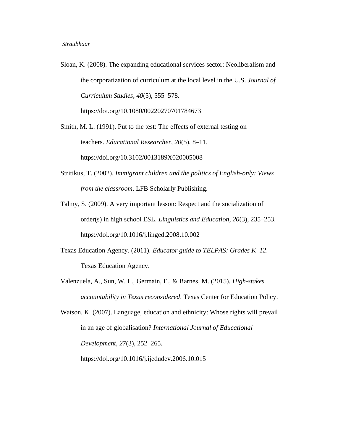Sloan, K. (2008). The expanding educational services sector: Neoliberalism and the corporatization of curriculum at the local level in the U.S. *Journal of Curriculum Studies*, *40*(5), 555*–*578. <https://doi.org/10.1080/00220270701784673>

Smith, M. L. (1991). Put to the test: The effects of external testing on teachers. *Educational Researcher*, *20*(5), 8*–*11. [https://doi.org/10.3102/0013189X020005008](https://doi.org/10.3102%2F0013189X020005008)

- Stritikus, T. (2002). *Immigrant children and the politics of English-only: Views from the classroom*. LFB Scholarly Publishing.
- Talmy, S. (2009). A very important lesson: Respect and the socialization of order(s) in high school ESL. *Linguistics and Education*, *20*(3), 235*–*253. <https://doi.org/10.1016/j.linged.2008.10.002>
- Texas Education Agency. (2011). *Educator guide to TELPAS: Grades K–12*. Texas Education Agency.
- Valenzuela, A., Sun, W. L., Germain, E., & Barnes, M. (2015). *High-stakes accountability in Texas reconsidered*. Texas Center for Education Policy.
- Watson, K. (2007). Language, education and ethnicity: Whose rights will prevail in an age of globalisation? *International Journal of Educational Development*, *27*(3), 252*–*265. <https://doi.org/10.1016/j.ijedudev.2006.10.015>